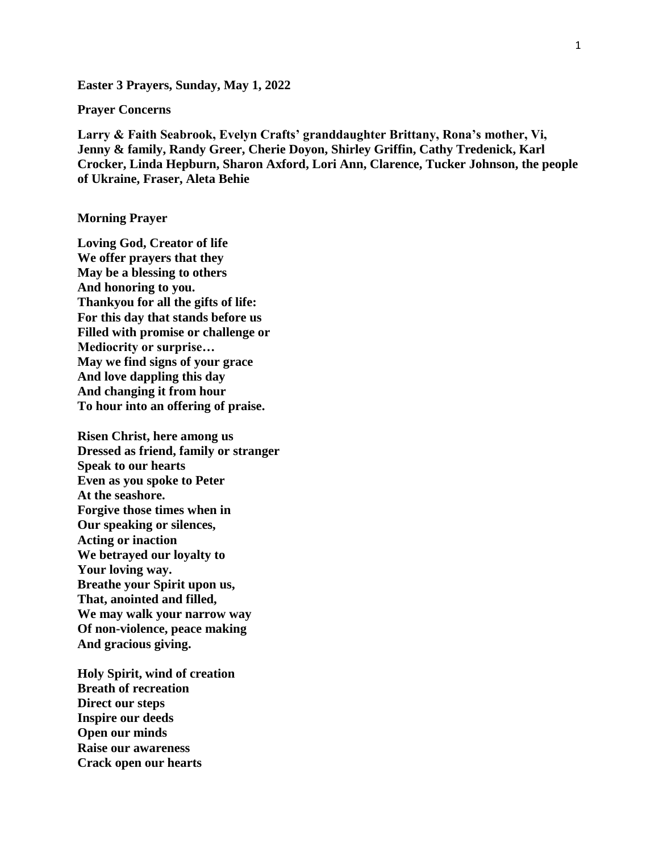**Easter 3 Prayers, Sunday, May 1, 2022**

**Prayer Concerns**

**Larry & Faith Seabrook, Evelyn Crafts' granddaughter Brittany, Rona's mother, Vi, Jenny & family, Randy Greer, Cherie Doyon, Shirley Griffin, Cathy Tredenick, Karl Crocker, Linda Hepburn, Sharon Axford, Lori Ann, Clarence, Tucker Johnson, the people of Ukraine, Fraser, Aleta Behie**

## **Morning Prayer**

**Loving God, Creator of life We offer prayers that they May be a blessing to others And honoring to you. Thankyou for all the gifts of life: For this day that stands before us Filled with promise or challenge or Mediocrity or surprise… May we find signs of your grace And love dappling this day And changing it from hour To hour into an offering of praise.**

**Risen Christ, here among us Dressed as friend, family or stranger Speak to our hearts Even as you spoke to Peter At the seashore. Forgive those times when in Our speaking or silences, Acting or inaction We betrayed our loyalty to Your loving way. Breathe your Spirit upon us, That, anointed and filled, We may walk your narrow way Of non-violence, peace making And gracious giving.**

**Holy Spirit, wind of creation Breath of recreation Direct our steps Inspire our deeds Open our minds Raise our awareness Crack open our hearts**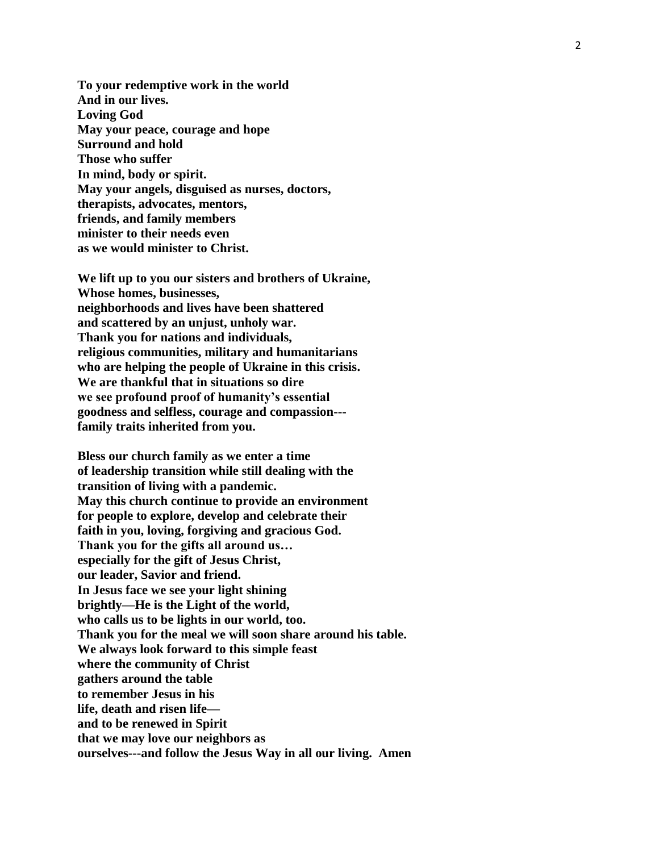**To your redemptive work in the world And in our lives. Loving God May your peace, courage and hope Surround and hold Those who suffer In mind, body or spirit. May your angels, disguised as nurses, doctors, therapists, advocates, mentors, friends, and family members minister to their needs even as we would minister to Christ.**

**We lift up to you our sisters and brothers of Ukraine, Whose homes, businesses, neighborhoods and lives have been shattered and scattered by an unjust, unholy war. Thank you for nations and individuals, religious communities, military and humanitarians who are helping the people of Ukraine in this crisis . We are thankful that in situations so dire we see profound proof of humanity's essential goodness and selfless, courage and compassion-- family traits inherited from you.**

**Bless our church family as we enter a time of leadership transition while still dealing with the transition of living with a pandemic. May this church continue to provide an environment for people to explore, develop and celebrate their faith in you, loving, forgiving and gracious God. Thank you for the gifts all around us… especially for the gift of Jesus Christ, our leader, Savior and friend. In Jesus face we see your light shining brightly —He is the Light of the world , who calls us to be lights in our world, too. Thank you for the meal we will soon share around his table. We always look forward to this simple feast where the community of Christ gathers around the table to remember Jesus in his life, death and risen life and to be renewed in Spirit that we may love our neighbors as ourselves---and follow the Jesus Way in all our living. Amen**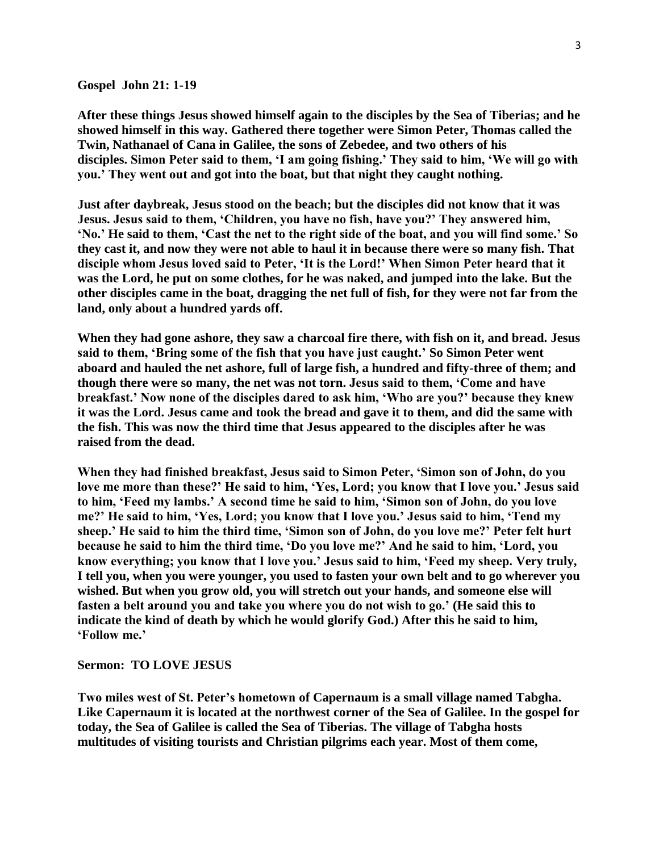## **Gospel John 21: 1-19**

**After these things Jesus showed himself again to the disciples by the Sea of Tiberias; and he showed himself in this way. Gathered there together were Simon Peter, Thomas called the Twin, Nathanael of Cana in Galilee, the sons of Zebedee, and two others of his disciples. Simon Peter said to them, 'I am going fishing.' They said to him, 'We will go with you.' They went out and got into the boat, but that night they caught nothing.**

**Just after daybreak, Jesus stood on the beach; but the disciples did not know that it was Jesus. Jesus said to them, 'Children, you have no fish, have you?' They answered him, 'No.' He said to them, 'Cast the net to the right side of the boat, and you will find some.' So they cast it, and now they were not able to haul it in because there were so many fish. That disciple whom Jesus loved said to Peter, 'It is the Lord!' When Simon Peter heard that it was the Lord, he put on some clothes, for he was naked, and jumped into the lake. But the other disciples came in the boat, dragging the net full of fish, for they were not far from the land, only about a hundred yards off.**

**When they had gone ashore, they saw a charcoal fire there, with fish on it, and bread. Jesus said to them, 'Bring some of the fish that you have just caught.' So Simon Peter went aboard and hauled the net ashore, full of large fish, a hundred and fifty-three of them; and though there were so many, the net was not torn. Jesus said to them, 'Come and have breakfast.' Now none of the disciples dared to ask him, 'Who are you?' because they knew it was the Lord. Jesus came and took the bread and gave it to them, and did the same with the fish. This was now the third time that Jesus appeared to the disciples after he was raised from the dead.**

**When they had finished breakfast, Jesus said to Simon Peter, 'Simon son of John, do you love me more than these?' He said to him, 'Yes, Lord; you know that I love you.' Jesus said to him, 'Feed my lambs.' A second time he said to him, 'Simon son of John, do you love me?' He said to him, 'Yes, Lord; you know that I love you.' Jesus said to him, 'Tend my sheep.' He said to him the third time, 'Simon son of John, do you love me?' Peter felt hurt because he said to him the third time, 'Do you love me?' And he said to him, 'Lord, you know everything; you know that I love you.' Jesus said to him, 'Feed my sheep. Very truly, I tell you, when you were younger, you used to fasten your own belt and to go wherever you wished. But when you grow old, you will stretch out your hands, and someone else will fasten a belt around you and take you where you do not wish to go.' (He said this to indicate the kind of death by which he would glorify God.) After this he said to him, 'Follow me.'**

**Sermon: TO LOVE JESUS**

**Two miles west of St. Peter's hometown of Capernaum is a small village named Tabgha. Like Capernaum it is located at the northwest corner of the Sea of Galilee. In the gospel for today, the Sea of Galilee is called the Sea of Tiberias. The village of Tabgha hosts multitudes of visiting tourists and Christian pilgrims each year. Most of them come,**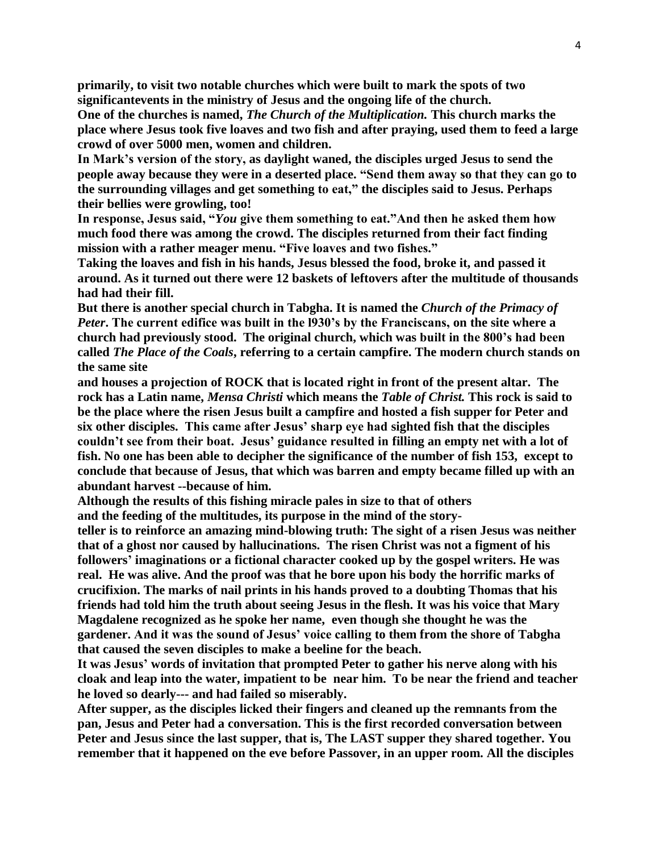**primarily, to visit two notable churches which were built to mark the spots of two significantevents in the ministry of Jesus and the ongoing life of the church.**

**One of the churches is named,** *The Church of the Multiplication.* **This church marks the place where Jesus took five loaves and two fish and after praying, used them to feed a large crowd of over 5000 men, women and children.**

**In Mark's version of the story, as daylight waned, the disciples urged Jesus to send the people away because they were in a deserted place. "Send them away so that they can go to the surrounding villages and get something to eat," the disciples said to Jesus. Perhaps their bellies were growling, too!**

**In response, Jesus said, "***You* **give them something to eat."And then he asked them how much food there was among the crowd. The disciples returned from their fact finding mission with a rather meager menu. "Five loaves and two fishes."**

**Taking the loaves and fish in his hands, Jesus blessed the food, broke it, and passed it around. As it turned out there were 12 baskets of leftovers after the multitude of thousands had had their fill.**

**But there is another special church in Tabgha. It is named the** *Church of the Primacy of Peter***. The current edifice was built in the l930's by the Franciscans, on the site where a church had previously stood. The original church, which was built in the 800's had been called** *The Place of the Coals***, referring to a certain campfire. The modern church stands on the same site**

**and houses a projection of ROCK that is located right in front of the present altar. The rock has a Latin name,** *Mensa Christi* **which means the** *Table of Christ.* **This rock is said to be the place where the risen Jesus built a campfire and hosted a fish supper for Peter and six other disciples. This came after Jesus' sharp eye had sighted fish that the disciples couldn't see from their boat. Jesus' guidance resulted in filling an empty net with a lot of fish. No one has been able to decipher the significance of the number of fish 153, except to conclude that because of Jesus, that which was barren and empty became filled up with an abundant harvest --because of him.**

**Although the results of this fishing miracle pales in size to that of others and the feeding of the multitudes, its purpose in the mind of the story-**

**teller is to reinforce an amazing mind-blowing truth: The sight of a risen Jesus was neither that of a ghost nor caused by hallucinations. The risen Christ was not a figment of his followers' imaginations or a fictional character cooked up by the gospel writers. He was real. He was alive. And the proof was that he bore upon his body the horrific marks of crucifixion. The marks of nail prints in his hands proved to a doubting Thomas that his friends had told him the truth about seeing Jesus in the flesh. It was his voice that Mary Magdalene recognized as he spoke her name, even though she thought he was the gardener. And it was the sound of Jesus' voice calling to them from the shore of Tabgha that caused the seven disciples to make a beeline for the beach.**

**It was Jesus' words of invitation that prompted Peter to gather his nerve along with his cloak and leap into the water, impatient to be near him. To be near the friend and teacher he loved so dearly--- and had failed so miserably.**

**After supper, as the disciples licked their fingers and cleaned up the remnants from the pan, Jesus and Peter had a conversation. This is the first recorded conversation between Peter and Jesus since the last supper, that is, The LAST supper they shared together. You remember that it happened on the eve before Passover, in an upper room. All the disciples**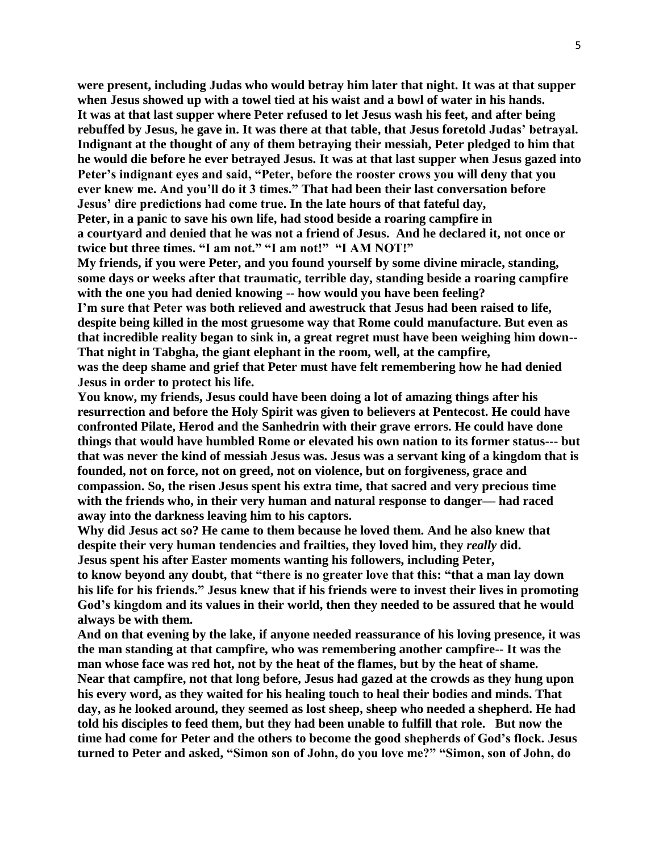**were present, including Judas who would betray him later that night. It was at that supper when Jesus showed up with a towel tied at his waist and a bowl of water in his hands. It was at that last supper where Peter refused to let Jesus wash his feet, and after being rebuffed by Jesus, he gave in. It was there at that table, that Jesus foretold Judas' betrayal. Indignant at the thought of any of them betraying their messiah, Peter pledged to him that he would die before he ever betrayed Jesus. It was at that last supper when Jesus gazed into Peter's indignant eyes and said, "Peter, before the rooster crows you will deny that you ever knew me. And you'll do it 3 times." That had been their last conversation before Jesus' dire predictions had come true. In the late hours of that fateful day, Peter, in a panic to save his own life, had stood beside a roaring campfire in**

**a courtyard and denied that he was not a friend of Jesus. And he declared it, not once or twice but three times. "I am not." "I am not!" "I AM NOT!"**

**My friends, if you were Peter, and you found yourself by some divine miracle, standing, some days or weeks after that traumatic, terrible day, standing beside a roaring campfire with the one you had denied knowing -- how would you have been feeling?**

**I'm sure that Peter was both relieved and awestruck that Jesus had been raised to life, despite being killed in the most gruesome way that Rome could manufacture. But even as that incredible reality began to sink in, a great regret must have been weighing him down-- That night in Tabgha, the giant elephant in the room, well, at the campfire, was the deep shame and grief that Peter must have felt remembering how he had denied Jesus in order to protect his life.**

**You know, my friends, Jesus could have been doing a lot of amazing things after his resurrection and before the Holy Spirit was given to believers at Pentecost. He could have confronted Pilate, Herod and the Sanhedrin with their grave errors. He could have done things that would have humbled Rome or elevated his own nation to its former status--- but that was never the kind of messiah Jesus was. Jesus was a servant king of a kingdom that is founded, not on force, not on greed, not on violence, but on forgiveness, grace and compassion. So, the risen Jesus spent his extra time, that sacred and very precious time with the friends who, in their very human and natural response to danger— had raced away into the darkness leaving him to his captors.**

**Why did Jesus act so? He came to them because he loved them. And he also knew that despite their very human tendencies and frailties, they loved him, they** *really* **did. Jesus spent his after Easter moments wanting his followers, including Peter,** 

**to know beyond any doubt, that "there is no greater love that this: "that a man lay down his life for his friends." Jesus knew that if his friends were to invest their lives in promoting God's kingdom and its values in their world, then they needed to be assured that he would always be with them.**

**And on that evening by the lake, if anyone needed reassurance of his loving presence, it was the man standing at that campfire, who was remembering another campfire-- It was the man whose face was red hot, not by the heat of the flames, but by the heat of shame. Near that campfire, not that long before, Jesus had gazed at the crowds as they hung upon his every word, as they waited for his healing touch to heal their bodies and minds. That day, as he looked around, they seemed as lost sheep, sheep who needed a shepherd. He had told his disciples to feed them, but they had been unable to fulfill that role. But now the time had come for Peter and the others to become the good shepherds of God's flock. Jesus turned to Peter and asked, "Simon son of John, do you love me?" "Simon, son of John, do**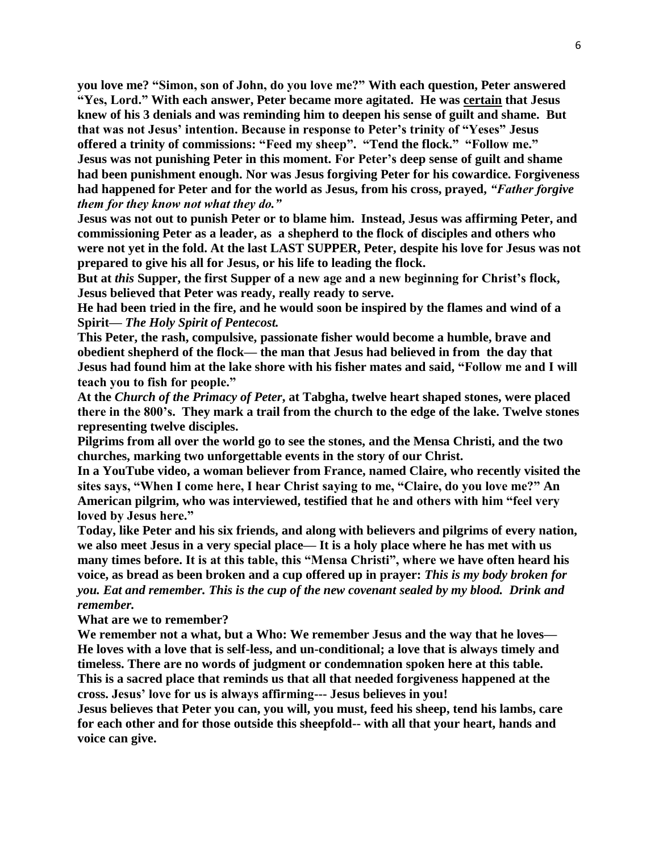**you love me? "Simon, son of John, do you love me?" With each question, Peter answered "Yes, Lord." With each answer, Peter became more agitated. He was certain that Jesus knew of his 3 denials and was reminding him to deepen his sense of guilt and shame. But that was not Jesus' intention. Because in response to Peter's trinity of "Yeses" Jesus offered a trinity of commissions: "Feed my sheep". "Tend the flock." "Follow me." Jesus was not punishing Peter in this moment. For Peter's deep sense of guilt and shame had been punishment enough. Nor was Jesus forgiving Peter for his cowardice. Forgiveness had happened for Peter and for the world as Jesus, from his cross, prayed,** *"Father forgive them for they know not what they do."*

**Jesus was not out to punish Peter or to blame him. Instead, Jesus was affirming Peter, and commissioning Peter as a leader, as a shepherd to the flock of disciples and others who were not yet in the fold. At the last LAST SUPPER, Peter, despite his love for Jesus was not prepared to give his all for Jesus, or his life to leading the flock.**

**But at** *this* **Supper, the first Supper of a new age and a new beginning for Christ's flock, Jesus believed that Peter was ready, really ready to serve.**

**He had been tried in the fire, and he would soon be inspired by the flames and wind of a Spirit—** *The Holy Spirit of Pentecost.*

**This Peter, the rash, compulsive, passionate fisher would become a humble, brave and obedient shepherd of the flock— the man that Jesus had believed in from the day that Jesus had found him at the lake shore with his fisher mates and said, "Follow me and I will teach you to fish for people."** 

**At the** *Church of the Primacy of Peter***, at Tabgha, twelve heart shaped stones, were placed there in the 800's. They mark a trail from the church to the edge of the lake. Twelve stones representing twelve disciples.**

**Pilgrims from all over the world go to see the stones, and the Mensa Christi, and the two churches, marking two unforgettable events in the story of our Christ.**

**In a YouTube video, a woman believer from France, named Claire, who recently visited the sites says, "When I come here, I hear Christ saying to me, "Claire, do you love me?" An American pilgrim, who was interviewed, testified that he and others with him "feel very loved by Jesus here."**

**Today, like Peter and his six friends, and along with believers and pilgrims of every nation, we also meet Jesus in a very special place— It is a holy place where he has met with us many times before. It is at this table, this "Mensa Christi", where we have often heard his voice, as bread as been broken and a cup offered up in prayer:** *This is my body broken for you. Eat and remember. This is the cup of the new covenant sealed by my blood. Drink and remember.*

**What are we to remember?**

**We remember not a what, but a Who: We remember Jesus and the way that he loves— He loves with a love that is self-less, and un-conditional; a love that is always timely and timeless. There are no words of judgment or condemnation spoken here at this table. This is a sacred place that reminds us that all that needed forgiveness happened at the cross. Jesus' love for us is always affirming--- Jesus believes in you!**

**Jesus believes that Peter you can, you will, you must, feed his sheep, tend his lambs, care for each other and for those outside this sheepfold-- with all that your heart, hands and voice can give.**